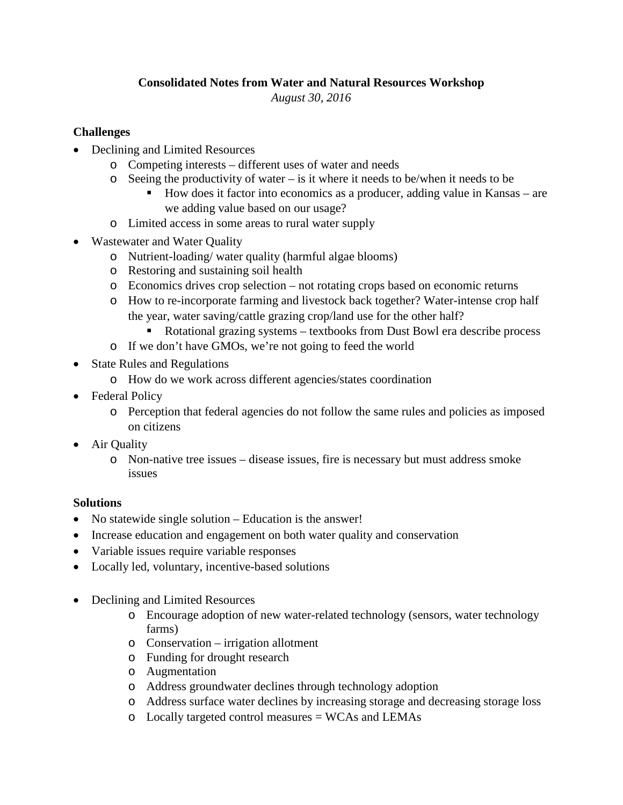## **Consolidated Notes from Water and Natural Resources Workshop**

*August 30, 2016*

## **Challenges**

- Declining and Limited Resources
	- o Competing interests different uses of water and needs
	- o Seeing the productivity of water is it where it needs to be/when it needs to be
		- How does it factor into economics as a producer, adding value in Kansas are we adding value based on our usage?
	- o Limited access in some areas to rural water supply
- Wastewater and Water Quality
	- o Nutrient-loading/ water quality (harmful algae blooms)
	- o Restoring and sustaining soil health
	- o Economics drives crop selection not rotating crops based on economic returns
	- o How to re-incorporate farming and livestock back together? Water-intense crop half the year, water saving/cattle grazing crop/land use for the other half?
		- Rotational grazing systems textbooks from Dust Bowl era describe process
	- o If we don't have GMOs, we're not going to feed the world
- State Rules and Regulations
	- o How do we work across different agencies/states coordination
- Federal Policy
	- o Perception that federal agencies do not follow the same rules and policies as imposed on citizens
- Air Quality
	- o Non-native tree issues disease issues, fire is necessary but must address smoke issues

## **Solutions**

- No statewide single solution Education is the answer!
- Increase education and engagement on both water quality and conservation
- Variable issues require variable responses
- Locally led, voluntary, incentive-based solutions
- Declining and Limited Resources
	- o Encourage adoption of new water-related technology (sensors, water technology farms)
	- o Conservation irrigation allotment
	- o Funding for drought research
	- o Augmentation
	- o Address groundwater declines through technology adoption
	- o Address surface water declines by increasing storage and decreasing storage loss
	- o Locally targeted control measures = WCAs and LEMAs